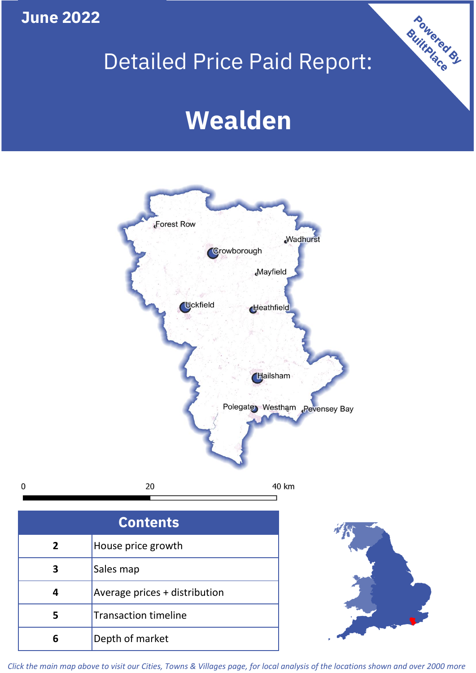**June 2022**

 $\mathbf 0$ 

## Detailed Price Paid Report:

# **Wealden**



| <b>Contents</b> |                               |  |  |
|-----------------|-------------------------------|--|--|
| $\overline{2}$  | House price growth            |  |  |
| 3               | Sales map                     |  |  |
| 4               | Average prices + distribution |  |  |
| 5               | <b>Transaction timeline</b>   |  |  |
| 6               | Depth of market               |  |  |



Powered By

*Click the main map above to visit our Cities, Towns & Villages page, for local analysis of the locations shown and over 2000 more*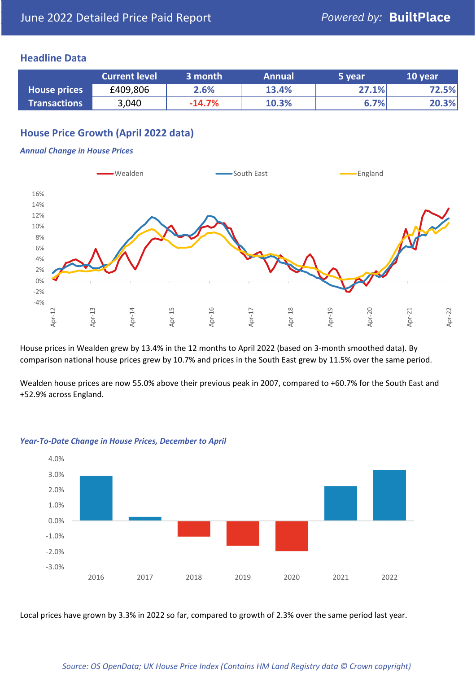#### **Headline Data**

|                     | <b>Current level</b> | 3 month  | <b>Annual</b> | 5 year | 10 year |
|---------------------|----------------------|----------|---------------|--------|---------|
| <b>House prices</b> | £409,806             | 2.6%     | 13.4%         | 27.1%  | 72.5%   |
| <b>Transactions</b> | 3,040                | $-14.7%$ | 10.3%         | 6.7%   | 20.3%   |

## **House Price Growth (April 2022 data)**

#### *Annual Change in House Prices*



House prices in Wealden grew by 13.4% in the 12 months to April 2022 (based on 3-month smoothed data). By comparison national house prices grew by 10.7% and prices in the South East grew by 11.5% over the same period.

Wealden house prices are now 55.0% above their previous peak in 2007, compared to +60.7% for the South East and +52.9% across England.



#### *Year-To-Date Change in House Prices, December to April*

Local prices have grown by 3.3% in 2022 so far, compared to growth of 2.3% over the same period last year.

#### *Source: OS OpenData; UK House Price Index (Contains HM Land Registry data © Crown copyright)*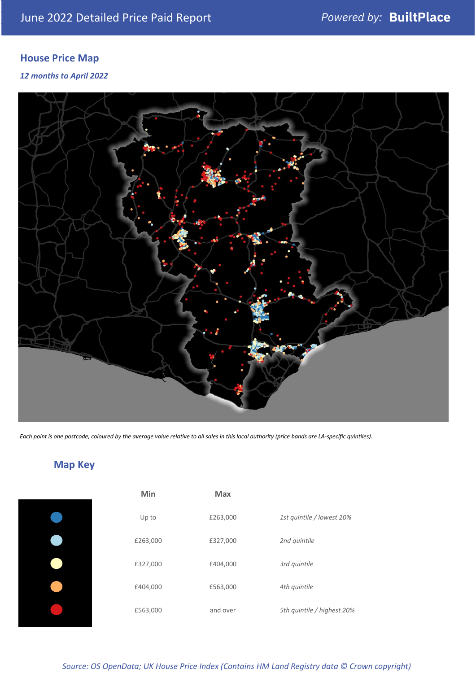## **House Price Map**

#### *12 months to April 2022*



*Each point is one postcode, coloured by the average value relative to all sales in this local authority (price bands are LA-specific quintiles).*

## **Map Key**

| Min      | <b>Max</b> |                            |
|----------|------------|----------------------------|
| Up to    | £263,000   | 1st quintile / lowest 20%  |
| £263,000 | £327,000   | 2nd quintile               |
| £327,000 | £404,000   | 3rd quintile               |
| £404,000 | £563,000   | 4th quintile               |
| £563,000 | and over   | 5th quintile / highest 20% |

## *Source: OS OpenData; UK House Price Index (Contains HM Land Registry data © Crown copyright)*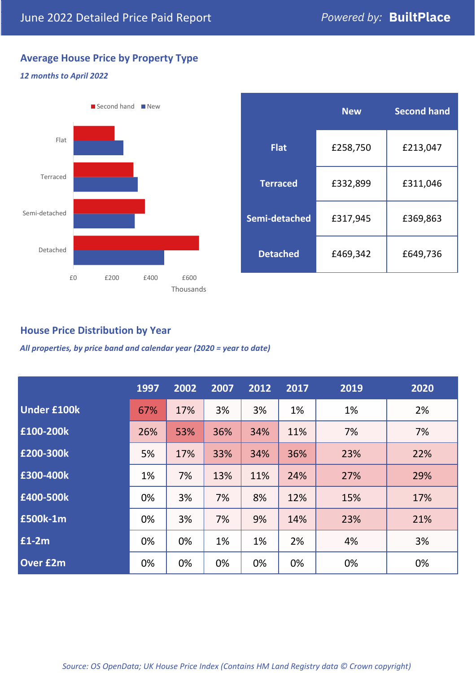## **Average House Price by Property Type**

#### *12 months to April 2022*



|                 | <b>New</b> | <b>Second hand</b> |  |  |
|-----------------|------------|--------------------|--|--|
| <b>Flat</b>     | £258,750   | £213,047           |  |  |
| <b>Terraced</b> | £332,899   | £311,046           |  |  |
| Semi-detached   | £317,945   | £369,863           |  |  |
| <b>Detached</b> | £469,342   | £649,736           |  |  |

## **House Price Distribution by Year**

*All properties, by price band and calendar year (2020 = year to date)*

|                    | 1997 | 2002 | 2007 | 2012 | 2017 | 2019 | 2020 |
|--------------------|------|------|------|------|------|------|------|
| <b>Under £100k</b> | 67%  | 17%  | 3%   | 3%   | 1%   | 1%   | 2%   |
| £100-200k          | 26%  | 53%  | 36%  | 34%  | 11%  | 7%   | 7%   |
| E200-300k          | 5%   | 17%  | 33%  | 34%  | 36%  | 23%  | 22%  |
| £300-400k          | 1%   | 7%   | 13%  | 11%  | 24%  | 27%  | 29%  |
| £400-500k          | 0%   | 3%   | 7%   | 8%   | 12%  | 15%  | 17%  |
| <b>£500k-1m</b>    | 0%   | 3%   | 7%   | 9%   | 14%  | 23%  | 21%  |
| £1-2m              | 0%   | 0%   | 1%   | 1%   | 2%   | 4%   | 3%   |
| <b>Over £2m</b>    | 0%   | 0%   | 0%   | 0%   | 0%   | 0%   | 0%   |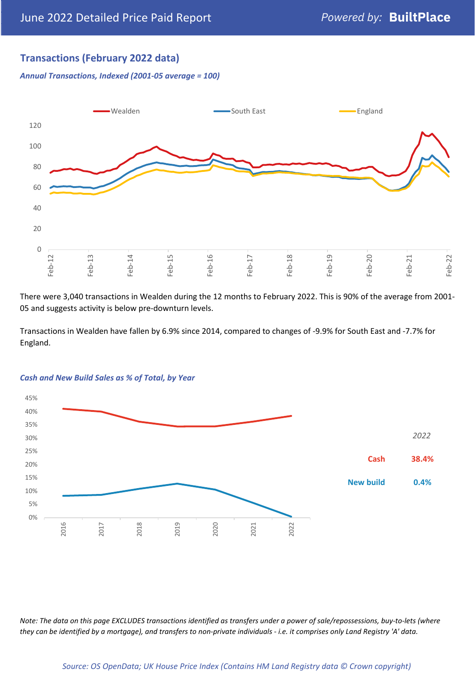## **Transactions (February 2022 data)**

*Annual Transactions, Indexed (2001-05 average = 100)*



There were 3,040 transactions in Wealden during the 12 months to February 2022. This is 90% of the average from 2001- 05 and suggests activity is below pre-downturn levels.

Transactions in Wealden have fallen by 6.9% since 2014, compared to changes of -9.9% for South East and -7.7% for England.



#### *Cash and New Build Sales as % of Total, by Year*

*Note: The data on this page EXCLUDES transactions identified as transfers under a power of sale/repossessions, buy-to-lets (where they can be identified by a mortgage), and transfers to non-private individuals - i.e. it comprises only Land Registry 'A' data.*